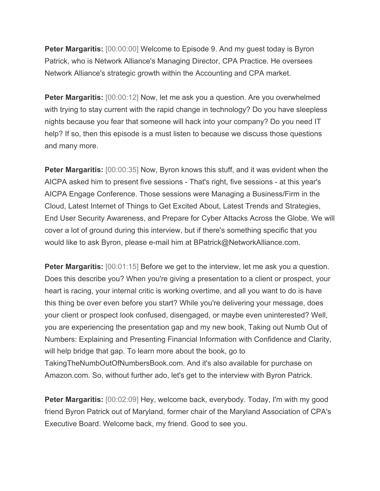**Peter Margaritis:** [00:00:00] Welcome to Episode 9. And my guest today is Byron Patrick, who is Network Alliance's Managing Director, CPA Practice. He oversees Network Alliance's strategic growth within the Accounting and CPA market.

**Peter Margaritis:** [00:00:12] Now, let me ask you a question. Are you overwhelmed with trying to stay current with the rapid change in technology? Do you have sleepless nights because you fear that someone will hack into your company? Do you need IT help? If so, then this episode is a must listen to because we discuss those questions and many more.

**Peter Margaritis:** [00:00:35] Now, Byron knows this stuff, and it was evident when the AICPA asked him to present five sessions - That's right, five sessions - at this year's AICPA Engage Conference. Those sessions were Managing a Business/Firm in the Cloud, Latest Internet of Things to Get Excited About, Latest Trends and Strategies, End User Security Awareness, and Prepare for Cyber Attacks Across the Globe. We will cover a lot of ground during this interview, but if there's something specific that you would like to ask Byron, please e-mail him at BPatrick@NetworkAlliance.com.

**Peter Margaritis:** [00:01:15] Before we get to the interview, let me ask you a question. Does this describe you? When you're giving a presentation to a client or prospect, your heart is racing, your internal critic is working overtime, and all you want to do is have this thing be over even before you start? While you're delivering your message, does your client or prospect look confused, disengaged, or maybe even uninterested? Well, you are experiencing the presentation gap and my new book, Taking out Numb Out of Numbers: Explaining and Presenting Financial Information with Confidence and Clarity, will help bridge that gap. To learn more about the book, go to TakingTheNumbOutOfNumbersBook.com. And it's also available for purchase on Amazon.com. So, without further ado, let's get to the interview with Byron Patrick.

**Peter Margaritis:** [00:02:09] Hey, welcome back, everybody. Today, I'm with my good friend Byron Patrick out of Maryland, former chair of the Maryland Association of CPA's Executive Board. Welcome back, my friend. Good to see you.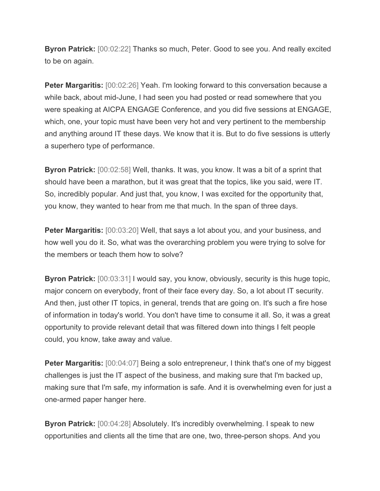**Byron Patrick:** [00:02:22] Thanks so much, Peter. Good to see you. And really excited to be on again.

**Peter Margaritis:** [00:02:26] Yeah. I'm looking forward to this conversation because a while back, about mid-June, I had seen you had posted or read somewhere that you were speaking at AICPA ENGAGE Conference, and you did five sessions at ENGAGE, which, one, your topic must have been very hot and very pertinent to the membership and anything around IT these days. We know that it is. But to do five sessions is utterly a superhero type of performance.

**Byron Patrick:** [00:02:58] Well, thanks. It was, you know. It was a bit of a sprint that should have been a marathon, but it was great that the topics, like you said, were IT. So, incredibly popular. And just that, you know, I was excited for the opportunity that, you know, they wanted to hear from me that much. In the span of three days.

**Peter Margaritis:** [00:03:20] Well, that says a lot about you, and your business, and how well you do it. So, what was the overarching problem you were trying to solve for the members or teach them how to solve?

**Byron Patrick:** [00:03:31] I would say, you know, obviously, security is this huge topic, major concern on everybody, front of their face every day. So, a lot about IT security. And then, just other IT topics, in general, trends that are going on. It's such a fire hose of information in today's world. You don't have time to consume it all. So, it was a great opportunity to provide relevant detail that was filtered down into things I felt people could, you know, take away and value.

**Peter Margaritis:** [00:04:07] Being a solo entrepreneur, I think that's one of my biggest challenges is just the IT aspect of the business, and making sure that I'm backed up, making sure that I'm safe, my information is safe. And it is overwhelming even for just a one-armed paper hanger here.

**Byron Patrick:** [00:04:28] Absolutely. It's incredibly overwhelming. I speak to new opportunities and clients all the time that are one, two, three-person shops. And you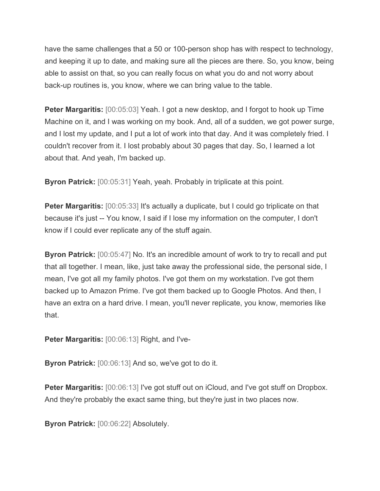have the same challenges that a 50 or 100-person shop has with respect to technology, and keeping it up to date, and making sure all the pieces are there. So, you know, being able to assist on that, so you can really focus on what you do and not worry about back-up routines is, you know, where we can bring value to the table.

**Peter Margaritis:** [00:05:03] Yeah. I got a new desktop, and I forgot to hook up Time Machine on it, and I was working on my book. And, all of a sudden, we got power surge, and I lost my update, and I put a lot of work into that day. And it was completely fried. I couldn't recover from it. I lost probably about 30 pages that day. So, I learned a lot about that. And yeah, I'm backed up.

**Byron Patrick:** [00:05:31] Yeah, yeah. Probably in triplicate at this point.

**Peter Margaritis:** [00:05:33] It's actually a duplicate, but I could go triplicate on that because it's just -- You know, I said if I lose my information on the computer, I don't know if I could ever replicate any of the stuff again.

**Byron Patrick:** [00:05:47] No. It's an incredible amount of work to try to recall and put that all together. I mean, like, just take away the professional side, the personal side, I mean, I've got all my family photos. I've got them on my workstation. I've got them backed up to Amazon Prime. I've got them backed up to Google Photos. And then, I have an extra on a hard drive. I mean, you'll never replicate, you know, memories like that.

**Peter Margaritis:** [00:06:13] Right, and I've-

**Byron Patrick:** [00:06:13] And so, we've got to do it.

**Peter Margaritis:** [00:06:13] I've got stuff out on iCloud, and I've got stuff on Dropbox. And they're probably the exact same thing, but they're just in two places now.

**Byron Patrick:** [00:06:22] Absolutely.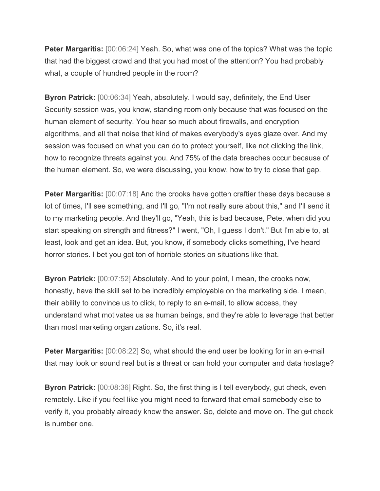**Peter Margaritis:**  $[00:06:24]$  Yeah. So, what was one of the topics? What was the topic that had the biggest crowd and that you had most of the attention? You had probably what, a couple of hundred people in the room?

**Byron Patrick:** [00:06:34] Yeah, absolutely. I would say, definitely, the End User Security session was, you know, standing room only because that was focused on the human element of security. You hear so much about firewalls, and encryption algorithms, and all that noise that kind of makes everybody's eyes glaze over. And my session was focused on what you can do to protect yourself, like not clicking the link, how to recognize threats against you. And 75% of the data breaches occur because of the human element. So, we were discussing, you know, how to try to close that gap.

**Peter Margaritis:** [00:07:18] And the crooks have gotten craftier these days because a lot of times, I'll see something, and I'll go, "I'm not really sure about this," and I'll send it to my marketing people. And they'll go, "Yeah, this is bad because, Pete, when did you start speaking on strength and fitness?" I went, "Oh, I guess I don't." But I'm able to, at least, look and get an idea. But, you know, if somebody clicks something, I've heard horror stories. I bet you got ton of horrible stories on situations like that.

**Byron Patrick:** [00:07:52] Absolutely. And to your point, I mean, the crooks now, honestly, have the skill set to be incredibly employable on the marketing side. I mean, their ability to convince us to click, to reply to an e-mail, to allow access, they understand what motivates us as human beings, and they're able to leverage that better than most marketing organizations. So, it's real.

**Peter Margaritis:** [00:08:22] So, what should the end user be looking for in an e-mail that may look or sound real but is a threat or can hold your computer and data hostage?

**Byron Patrick:** [00:08:36] Right. So, the first thing is I tell everybody, gut check, even remotely. Like if you feel like you might need to forward that email somebody else to verify it, you probably already know the answer. So, delete and move on. The gut check is number one.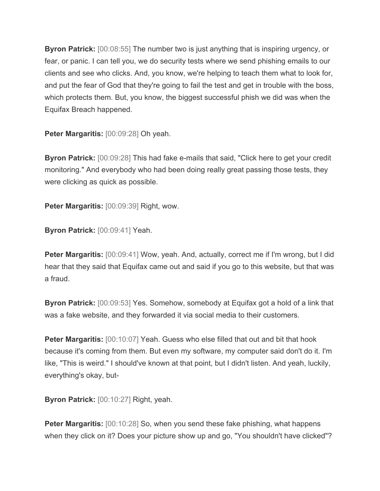**Byron Patrick:** [00:08:55] The number two is just anything that is inspiring urgency, or fear, or panic. I can tell you, we do security tests where we send phishing emails to our clients and see who clicks. And, you know, we're helping to teach them what to look for, and put the fear of God that they're going to fail the test and get in trouble with the boss, which protects them. But, you know, the biggest successful phish we did was when the Equifax Breach happened.

**Peter Margaritis:** [00:09:28] Oh yeah.

**Byron Patrick:** [00:09:28] This had fake e-mails that said, "Click here to get your credit monitoring." And everybody who had been doing really great passing those tests, they were clicking as quick as possible.

**Peter Margaritis:** [00:09:39] Right, wow.

**Byron Patrick:** [00:09:41] Yeah.

**Peter Margaritis:** [00:09:41] Wow, yeah. And, actually, correct me if I'm wrong, but I did hear that they said that Equifax came out and said if you go to this website, but that was a fraud.

**Byron Patrick:** [00:09:53] Yes. Somehow, somebody at Equifax got a hold of a link that was a fake website, and they forwarded it via social media to their customers.

**Peter Margaritis:** [00:10:07] Yeah. Guess who else filled that out and bit that hook because it's coming from them. But even my software, my computer said don't do it. I'm like, "This is weird." I should've known at that point, but I didn't listen. And yeah, luckily, everything's okay, but-

**Byron Patrick:** [00:10:27] Right, yeah.

**Peter Margaritis:** [00:10:28] So, when you send these fake phishing, what happens when they click on it? Does your picture show up and go, "You shouldn't have clicked"?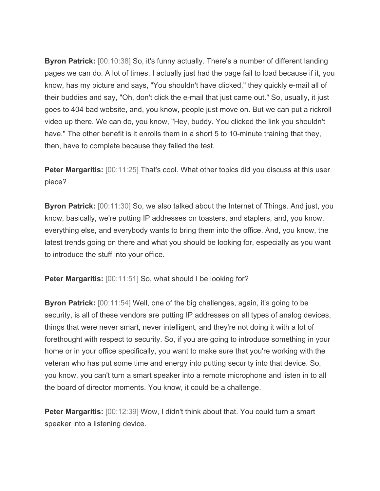**Byron Patrick:** [00:10:38] So, it's funny actually. There's a number of different landing pages we can do. A lot of times, I actually just had the page fail to load because if it, you know, has my picture and says, "You shouldn't have clicked," they quickly e-mail all of their buddies and say, "Oh, don't click the e-mail that just came out." So, usually, it just goes to 404 bad website, and, you know, people just move on. But we can put a rickroll video up there. We can do, you know, "Hey, buddy. You clicked the link you shouldn't have." The other benefit is it enrolls them in a short 5 to 10-minute training that they, then, have to complete because they failed the test.

**Peter Margaritis:** [00:11:25] That's cool. What other topics did you discuss at this user piece?

**Byron Patrick:** [00:11:30] So, we also talked about the Internet of Things. And just, you know, basically, we're putting IP addresses on toasters, and staplers, and, you know, everything else, and everybody wants to bring them into the office. And, you know, the latest trends going on there and what you should be looking for, especially as you want to introduce the stuff into your office.

**Peter Margaritis:** [00:11:51] So, what should I be looking for?

**Byron Patrick:** [00:11:54] Well, one of the big challenges, again, it's going to be security, is all of these vendors are putting IP addresses on all types of analog devices, things that were never smart, never intelligent, and they're not doing it with a lot of forethought with respect to security. So, if you are going to introduce something in your home or in your office specifically, you want to make sure that you're working with the veteran who has put some time and energy into putting security into that device. So, you know, you can't turn a smart speaker into a remote microphone and listen in to all the board of director moments. You know, it could be a challenge.

**Peter Margaritis:** [00:12:39] Wow, I didn't think about that. You could turn a smart speaker into a listening device.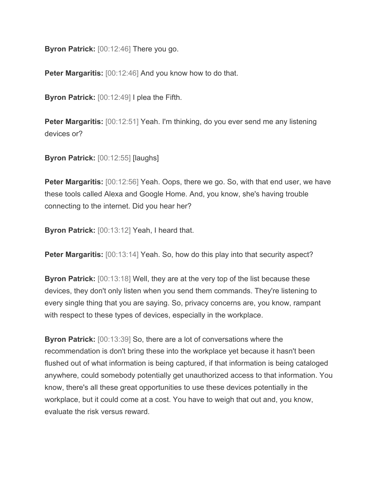**Byron Patrick:** [00:12:46] There you go.

**Peter Margaritis:** [00:12:46] And you know how to do that.

**Byron Patrick:** [00:12:49] I plea the Fifth.

**Peter Margaritis:** [00:12:51] Yeah. I'm thinking, do you ever send me any listening devices or?

**Byron Patrick: [00:12:55] [laughs]** 

**Peter Margaritis:** [00:12:56] Yeah. Oops, there we go. So, with that end user, we have these tools called Alexa and Google Home. And, you know, she's having trouble connecting to the internet. Did you hear her?

**Byron Patrick:** [00:13:12] Yeah, I heard that.

**Peter Margaritis:** [00:13:14] Yeah. So, how do this play into that security aspect?

**Byron Patrick:** [00:13:18] Well, they are at the very top of the list because these devices, they don't only listen when you send them commands. They're listening to every single thing that you are saying. So, privacy concerns are, you know, rampant with respect to these types of devices, especially in the workplace.

**Byron Patrick:** [00:13:39] So, there are a lot of conversations where the recommendation is don't bring these into the workplace yet because it hasn't been flushed out of what information is being captured, if that information is being cataloged anywhere, could somebody potentially get unauthorized access to that information. You know, there's all these great opportunities to use these devices potentially in the workplace, but it could come at a cost. You have to weigh that out and, you know, evaluate the risk versus reward.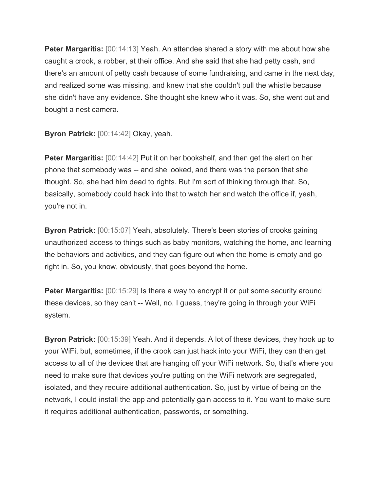**Peter Margaritis:** [00:14:13] Yeah. An attendee shared a story with me about how she caught a crook, a robber, at their office. And she said that she had petty cash, and there's an amount of petty cash because of some fundraising, and came in the next day, and realized some was missing, and knew that she couldn't pull the whistle because she didn't have any evidence. She thought she knew who it was. So, she went out and bought a nest camera.

**Byron Patrick:** [00:14:42] Okay, yeah.

**Peter Margaritis:** [00:14:42] Put it on her bookshelf, and then get the alert on her phone that somebody was -- and she looked, and there was the person that she thought. So, she had him dead to rights. But I'm sort of thinking through that. So, basically, somebody could hack into that to watch her and watch the office if, yeah, you're not in.

**Byron Patrick:** [00:15:07] Yeah, absolutely. There's been stories of crooks gaining unauthorized access to things such as baby monitors, watching the home, and learning the behaviors and activities, and they can figure out when the home is empty and go right in. So, you know, obviously, that goes beyond the home.

**Peter Margaritis:** [00:15:29] Is there a way to encrypt it or put some security around these devices, so they can't -- Well, no. I guess, they're going in through your WiFi system.

**Byron Patrick:** [00:15:39] Yeah. And it depends. A lot of these devices, they hook up to your WiFi, but, sometimes, if the crook can just hack into your WiFi, they can then get access to all of the devices that are hanging off your WiFi network. So, that's where you need to make sure that devices you're putting on the WiFi network are segregated, isolated, and they require additional authentication. So, just by virtue of being on the network, I could install the app and potentially gain access to it. You want to make sure it requires additional authentication, passwords, or something.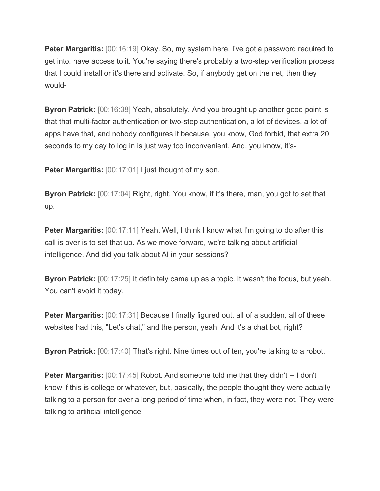**Peter Margaritis:** [00:16:19] Okay. So, my system here, I've got a password required to get into, have access to it. You're saying there's probably a two-step verification process that I could install or it's there and activate. So, if anybody get on the net, then they would-

**Byron Patrick:** [00:16:38] Yeah, absolutely. And you brought up another good point is that that multi-factor authentication or two-step authentication, a lot of devices, a lot of apps have that, and nobody configures it because, you know, God forbid, that extra 20 seconds to my day to log in is just way too inconvenient. And, you know, it's-

**Peter Margaritis:**  $[00:17:01]$  I just thought of my son.

**Byron Patrick:** [00:17:04] Right, right. You know, if it's there, man, you got to set that up.

**Peter Margaritis:** [00:17:11] Yeah. Well, I think I know what I'm going to do after this call is over is to set that up. As we move forward, we're talking about artificial intelligence. And did you talk about AI in your sessions?

**Byron Patrick:** [00:17:25] It definitely came up as a topic. It wasn't the focus, but yeah. You can't avoid it today.

**Peter Margaritis:** [00:17:31] Because I finally figured out, all of a sudden, all of these websites had this, "Let's chat," and the person, yeah. And it's a chat bot, right?

**Byron Patrick:** [00:17:40] That's right. Nine times out of ten, you're talking to a robot.

**Peter Margaritis:** [00:17:45] Robot. And someone told me that they didn't -- I don't know if this is college or whatever, but, basically, the people thought they were actually talking to a person for over a long period of time when, in fact, they were not. They were talking to artificial intelligence.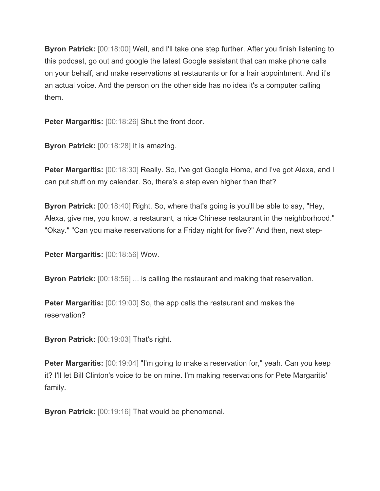**Byron Patrick:** [00:18:00] Well, and I'll take one step further. After you finish listening to this podcast, go out and google the latest Google assistant that can make phone calls on your behalf, and make reservations at restaurants or for a hair appointment. And it's an actual voice. And the person on the other side has no idea it's a computer calling them.

**Peter Margaritis:** [00:18:26] Shut the front door.

**Byron Patrick:** [00:18:28] It is amazing.

**Peter Margaritis:** [00:18:30] Really. So, I've got Google Home, and I've got Alexa, and I can put stuff on my calendar. So, there's a step even higher than that?

**Byron Patrick:** [00:18:40] Right. So, where that's going is you'll be able to say, "Hey, Alexa, give me, you know, a restaurant, a nice Chinese restaurant in the neighborhood." "Okay." "Can you make reservations for a Friday night for five?" And then, next step-

**Peter Margaritis:** [00:18:56] Wow.

**Byron Patrick:** [00:18:56] ... is calling the restaurant and making that reservation.

**Peter Margaritis:** [00:19:00] So, the app calls the restaurant and makes the reservation?

**Byron Patrick:** [00:19:03] That's right.

**Peter Margaritis:** [00:19:04] "I'm going to make a reservation for," yeah. Can you keep it? I'll let Bill Clinton's voice to be on mine. I'm making reservations for Pete Margaritis' family.

**Byron Patrick:** [00:19:16] That would be phenomenal.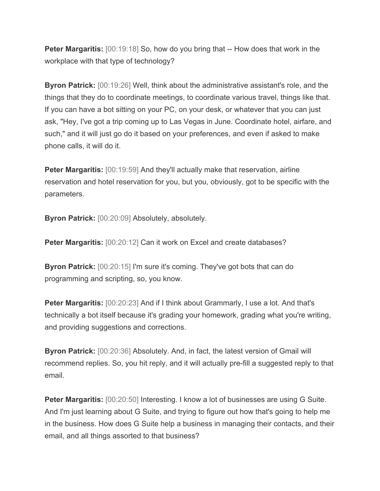**Peter Margaritis:** [00:19:18] So, how do you bring that -- How does that work in the workplace with that type of technology?

**Byron Patrick:** [00:19:26] Well, think about the administrative assistant's role, and the things that they do to coordinate meetings, to coordinate various travel, things like that. If you can have a bot sitting on your PC, on your desk, or whatever that you can just ask, "Hey, I've got a trip coming up to Las Vegas in June. Coordinate hotel, airfare, and such," and it will just go do it based on your preferences, and even if asked to make phone calls, it will do it.

**Peter Margaritis:** [00:19:59] And they'll actually make that reservation, airline reservation and hotel reservation for you, but you, obviously, got to be specific with the parameters.

**Byron Patrick:** [00:20:09] Absolutely, absolutely.

**Peter Margaritis:** [00:20:12] Can it work on Excel and create databases?

**Byron Patrick:** [00:20:15] I'm sure it's coming. They've got bots that can do programming and scripting, so, you know.

**Peter Margaritis:** [00:20:23] And if I think about Grammarly, I use a lot. And that's technically a bot itself because it's grading your homework, grading what you're writing, and providing suggestions and corrections.

**Byron Patrick:** [00:20:36] Absolutely. And, in fact, the latest version of Gmail will recommend replies. So, you hit reply, and it will actually pre-fill a suggested reply to that email.

**Peter Margaritis:** [00:20:50] Interesting. I know a lot of businesses are using G Suite. And I'm just learning about G Suite, and trying to figure out how that's going to help me in the business. How does G Suite help a business in managing their contacts, and their email, and all things assorted to that business?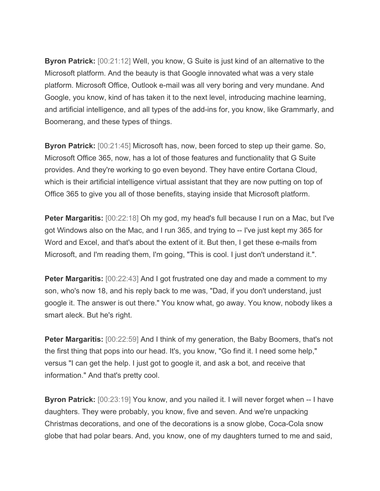**Byron Patrick:** [00:21:12] Well, you know, G Suite is just kind of an alternative to the Microsoft platform. And the beauty is that Google innovated what was a very stale platform. Microsoft Office, Outlook e-mail was all very boring and very mundane. And Google, you know, kind of has taken it to the next level, introducing machine learning, and artificial intelligence, and all types of the add-ins for, you know, like Grammarly, and Boomerang, and these types of things.

**Byron Patrick:** [00:21:45] Microsoft has, now, been forced to step up their game. So, Microsoft Office 365, now, has a lot of those features and functionality that G Suite provides. And they're working to go even beyond. They have entire Cortana Cloud, which is their artificial intelligence virtual assistant that they are now putting on top of Office 365 to give you all of those benefits, staying inside that Microsoft platform.

**Peter Margaritis:** [00:22:18] Oh my god, my head's full because I run on a Mac, but I've got Windows also on the Mac, and I run 365, and trying to -- I've just kept my 365 for Word and Excel, and that's about the extent of it. But then, I get these e-mails from Microsoft, and I'm reading them, I'm going, "This is cool. I just don't understand it.".

**Peter Margaritis:** [00:22:43] And I got frustrated one day and made a comment to my son, who's now 18, and his reply back to me was, "Dad, if you don't understand, just google it. The answer is out there." You know what, go away. You know, nobody likes a smart aleck. But he's right.

**Peter Margaritis:** [00:22:59] And I think of my generation, the Baby Boomers, that's not the first thing that pops into our head. It's, you know, "Go find it. I need some help," versus "I can get the help. I just got to google it, and ask a bot, and receive that information." And that's pretty cool.

**Byron Patrick:** [00:23:19] You know, and you nailed it. I will never forget when -- I have daughters. They were probably, you know, five and seven. And we're unpacking Christmas decorations, and one of the decorations is a snow globe, Coca-Cola snow globe that had polar bears. And, you know, one of my daughters turned to me and said,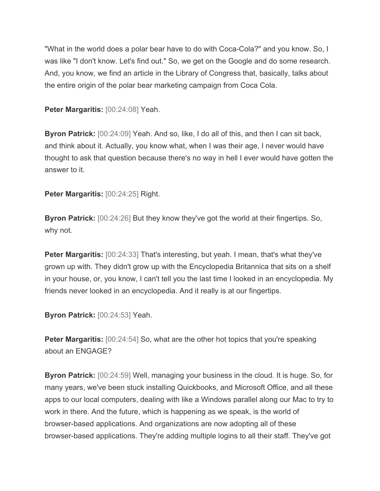"What in the world does a polar bear have to do with Coca-Cola?" and you know. So, I was like "I don't know. Let's find out." So, we get on the Google and do some research. And, you know, we find an article in the Library of Congress that, basically, talks about the entire origin of the polar bear marketing campaign from Coca Cola.

**Peter Margaritis:** [00:24:08] Yeah.

**Byron Patrick:** [00:24:09] Yeah. And so, like, I do all of this, and then I can sit back, and think about it. Actually, you know what, when I was their age, I never would have thought to ask that question because there's no way in hell I ever would have gotten the answer to it.

**Peter Margaritis:** [00:24:25] Right.

**Byron Patrick:** [00:24:26] But they know they've got the world at their fingertips. So, why not.

**Peter Margaritis:** [00:24:33] That's interesting, but yeah. I mean, that's what they've grown up with. They didn't grow up with the Encyclopedia Britannica that sits on a shelf in your house, or, you know, I can't tell you the last time I looked in an encyclopedia. My friends never looked in an encyclopedia. And it really is at our fingertips.

**Byron Patrick:** [00:24:53] Yeah.

**Peter Margaritis:** [00:24:54] So, what are the other hot topics that you're speaking about an ENGAGE?

**Byron Patrick:** [00:24:59] Well, managing your business in the cloud. It is huge. So, for many years, we've been stuck installing Quickbooks, and Microsoft Office, and all these apps to our local computers, dealing with like a Windows parallel along our Mac to try to work in there. And the future, which is happening as we speak, is the world of browser-based applications. And organizations are now adopting all of these browser-based applications. They're adding multiple logins to all their staff. They've got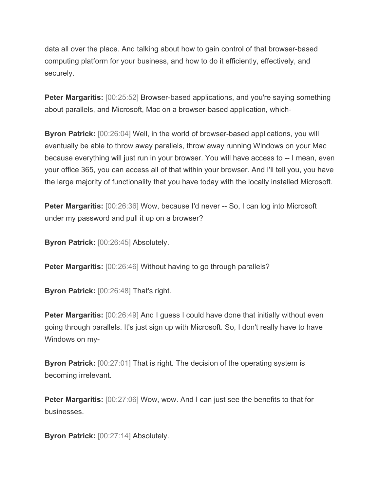data all over the place. And talking about how to gain control of that browser-based computing platform for your business, and how to do it efficiently, effectively, and securely.

**Peter Margaritis:** [00:25:52] Browser-based applications, and you're saying something about parallels, and Microsoft, Mac on a browser-based application, which-

**Byron Patrick:** [00:26:04] Well, in the world of browser-based applications, you will eventually be able to throw away parallels, throw away running Windows on your Mac because everything will just run in your browser. You will have access to -- I mean, even your office 365, you can access all of that within your browser. And I'll tell you, you have the large majority of functionality that you have today with the locally installed Microsoft.

**Peter Margaritis:** [00:26:36] Wow, because I'd never -- So, I can log into Microsoft under my password and pull it up on a browser?

**Byron Patrick:** [00:26:45] Absolutely.

**Peter Margaritis:** [00:26:46] Without having to go through parallels?

**Byron Patrick:** [00:26:48] That's right.

**Peter Margaritis:** [00:26:49] And I guess I could have done that initially without even going through parallels. It's just sign up with Microsoft. So, I don't really have to have Windows on my-

**Byron Patrick:** [00:27:01] That is right. The decision of the operating system is becoming irrelevant.

**Peter Margaritis:** [00:27:06] Wow, wow. And I can just see the benefits to that for businesses.

**Byron Patrick:** [00:27:14] Absolutely.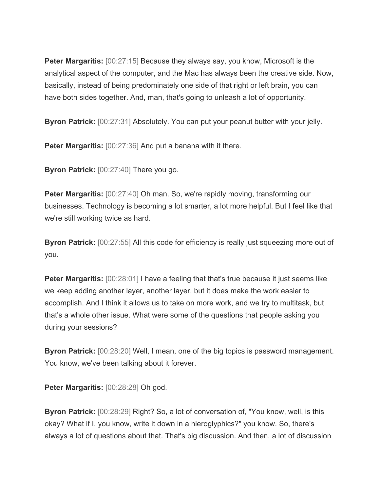**Peter Margaritis:** [00:27:15] Because they always say, you know, Microsoft is the analytical aspect of the computer, and the Mac has always been the creative side. Now, basically, instead of being predominately one side of that right or left brain, you can have both sides together. And, man, that's going to unleash a lot of opportunity.

**Byron Patrick:** [00:27:31] Absolutely. You can put your peanut butter with your jelly.

**Peter Margaritis:** [00:27:36] And put a banana with it there.

**Byron Patrick:** [00:27:40] There you go.

**Peter Margaritis:** [00:27:40] Oh man. So, we're rapidly moving, transforming our businesses. Technology is becoming a lot smarter, a lot more helpful. But I feel like that we're still working twice as hard.

**Byron Patrick:** [00:27:55] All this code for efficiency is really just squeezing more out of you.

**Peter Margaritis:** [00:28:01] I have a feeling that that's true because it just seems like we keep adding another layer, another layer, but it does make the work easier to accomplish. And I think it allows us to take on more work, and we try to multitask, but that's a whole other issue. What were some of the questions that people asking you during your sessions?

**Byron Patrick:** [00:28:20] Well, I mean, one of the big topics is password management. You know, we've been talking about it forever.

**Peter Margaritis:** [00:28:28] Oh god.

**Byron Patrick:** [00:28:29] Right? So, a lot of conversation of, "You know, well, is this okay? What if I, you know, write it down in a hieroglyphics?" you know. So, there's always a lot of questions about that. That's big discussion. And then, a lot of discussion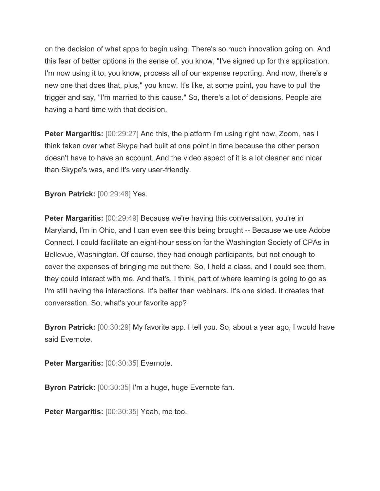on the decision of what apps to begin using. There's so much innovation going on. And this fear of better options in the sense of, you know, "I've signed up for this application. I'm now using it to, you know, process all of our expense reporting. And now, there's a new one that does that, plus," you know. It's like, at some point, you have to pull the trigger and say, "I'm married to this cause." So, there's a lot of decisions. People are having a hard time with that decision.

**Peter Margaritis:** [00:29:27] And this, the platform I'm using right now, Zoom, has I think taken over what Skype had built at one point in time because the other person doesn't have to have an account. And the video aspect of it is a lot cleaner and nicer than Skype's was, and it's very user-friendly.

**Byron Patrick:** [00:29:48] Yes.

**Peter Margaritis:** [00:29:49] Because we're having this conversation, you're in Maryland, I'm in Ohio, and I can even see this being brought -- Because we use Adobe Connect. I could facilitate an eight-hour session for the Washington Society of CPAs in Bellevue, Washington. Of course, they had enough participants, but not enough to cover the expenses of bringing me out there. So, I held a class, and I could see them, they could interact with me. And that's, I think, part of where learning is going to go as I'm still having the interactions. It's better than webinars. It's one sided. It creates that conversation. So, what's your favorite app?

**Byron Patrick:** [00:30:29] My favorite app. I tell you. So, about a year ago, I would have said Evernote.

**Peter Margaritis:** [00:30:35] Evernote.

**Byron Patrick:** [00:30:35] I'm a huge, huge Evernote fan.

**Peter Margaritis:** [00:30:35] Yeah, me too.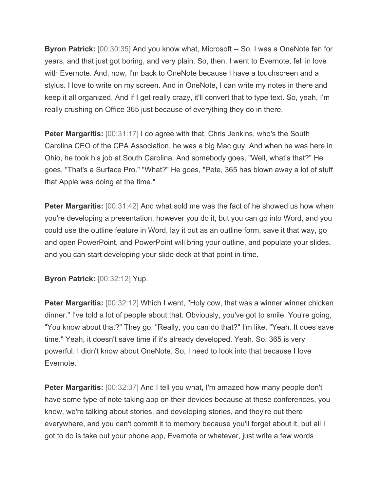**Byron Patrick:** [00:30:35] And you know what, Microsoft -- So, I was a OneNote fan for years, and that just got boring, and very plain. So, then, I went to Evernote, fell in love with Evernote. And, now, I'm back to OneNote because I have a touchscreen and a stylus. I love to write on my screen. And in OneNote, I can write my notes in there and keep it all organized. And if I get really crazy, it'll convert that to type text. So, yeah, I'm really crushing on Office 365 just because of everything they do in there.

**Peter Margaritis:**  $[00:31:17]$  I do agree with that. Chris Jenkins, who's the South Carolina CEO of the CPA Association, he was a big Mac guy. And when he was here in Ohio, he took his job at South Carolina. And somebody goes, "Well, what's that?" He goes, "That's a Surface Pro." "What?" He goes, "Pete, 365 has blown away a lot of stuff that Apple was doing at the time."

**Peter Margaritis:** [00:31:42] And what sold me was the fact of he showed us how when you're developing a presentation, however you do it, but you can go into Word, and you could use the outline feature in Word, lay it out as an outline form, save it that way, go and open PowerPoint, and PowerPoint will bring your outline, and populate your slides, and you can start developing your slide deck at that point in time.

**Byron Patrick:** [00:32:12] Yup.

**Peter Margaritis:** [00:32:12] Which I went, "Holy cow, that was a winner winner chicken dinner." I've told a lot of people about that. Obviously, you've got to smile. You're going, "You know about that?" They go, "Really, you can do that?" I'm like, "Yeah. It does save time." Yeah, it doesn't save time if it's already developed. Yeah. So, 365 is very powerful. I didn't know about OneNote. So, I need to look into that because I love Evernote.

**Peter Margaritis:** [00:32:37] And I tell you what, I'm amazed how many people don't have some type of note taking app on their devices because at these conferences, you know, we're talking about stories, and developing stories, and they're out there everywhere, and you can't commit it to memory because you'll forget about it, but all I got to do is take out your phone app, Evernote or whatever, just write a few words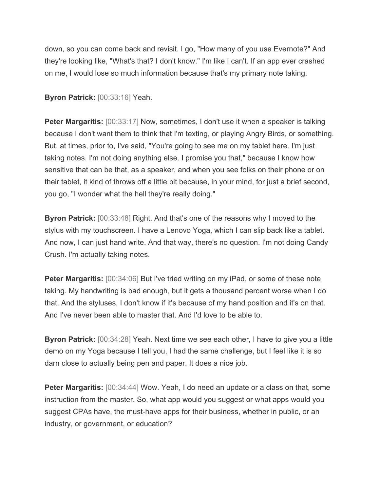down, so you can come back and revisit. I go, "How many of you use Evernote?" And they're looking like, "What's that? I don't know." I'm like I can't. If an app ever crashed on me, I would lose so much information because that's my primary note taking.

**Byron Patrick:** [00:33:16] Yeah.

**Peter Margaritis:** [00:33:17] Now, sometimes, I don't use it when a speaker is talking because I don't want them to think that I'm texting, or playing Angry Birds, or something. But, at times, prior to, I've said, "You're going to see me on my tablet here. I'm just taking notes. I'm not doing anything else. I promise you that," because I know how sensitive that can be that, as a speaker, and when you see folks on their phone or on their tablet, it kind of throws off a little bit because, in your mind, for just a brief second, you go, "I wonder what the hell they're really doing."

**Byron Patrick:** [00:33:48] Right. And that's one of the reasons why I moved to the stylus with my touchscreen. I have a Lenovo Yoga, which I can slip back like a tablet. And now, I can just hand write. And that way, there's no question. I'm not doing Candy Crush. I'm actually taking notes.

**Peter Margaritis:** [00:34:06] But I've tried writing on my iPad, or some of these note taking. My handwriting is bad enough, but it gets a thousand percent worse when I do that. And the styluses, I don't know if it's because of my hand position and it's on that. And I've never been able to master that. And I'd love to be able to.

**Byron Patrick:** [00:34:28] Yeah. Next time we see each other, I have to give you a little demo on my Yoga because I tell you, I had the same challenge, but I feel like it is so darn close to actually being pen and paper. It does a nice job.

**Peter Margaritis:** [00:34:44] Wow. Yeah, I do need an update or a class on that, some instruction from the master. So, what app would you suggest or what apps would you suggest CPAs have, the must-have apps for their business, whether in public, or an industry, or government, or education?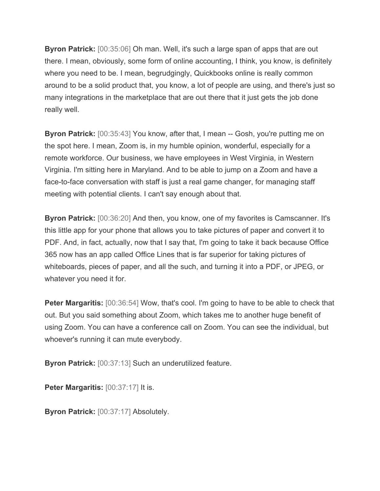**Byron Patrick:** [00:35:06] Oh man. Well, it's such a large span of apps that are out there. I mean, obviously, some form of online accounting, I think, you know, is definitely where you need to be. I mean, begrudgingly, Quickbooks online is really common around to be a solid product that, you know, a lot of people are using, and there's just so many integrations in the marketplace that are out there that it just gets the job done really well.

**Byron Patrick:** [00:35:43] You know, after that, I mean -- Gosh, you're putting me on the spot here. I mean, Zoom is, in my humble opinion, wonderful, especially for a remote workforce. Our business, we have employees in West Virginia, in Western Virginia. I'm sitting here in Maryland. And to be able to jump on a Zoom and have a face-to-face conversation with staff is just a real game changer, for managing staff meeting with potential clients. I can't say enough about that.

**Byron Patrick:** [00:36:20] And then, you know, one of my favorites is Camscanner. It's this little app for your phone that allows you to take pictures of paper and convert it to PDF. And, in fact, actually, now that I say that, I'm going to take it back because Office 365 now has an app called Office Lines that is far superior for taking pictures of whiteboards, pieces of paper, and all the such, and turning it into a PDF, or JPEG, or whatever you need it for.

**Peter Margaritis:** [00:36:54] Wow, that's cool. I'm going to have to be able to check that out. But you said something about Zoom, which takes me to another huge benefit of using Zoom. You can have a conference call on Zoom. You can see the individual, but whoever's running it can mute everybody.

**Byron Patrick:** [00:37:13] Such an underutilized feature.

**Peter Margaritis:** [00:37:17] It is.

**Byron Patrick:** [00:37:17] Absolutely.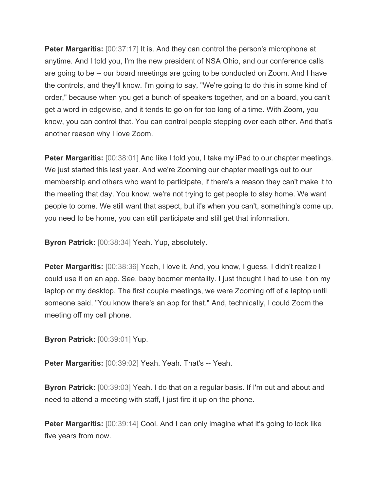**Peter Margaritis:** [00:37:17] It is. And they can control the person's microphone at anytime. And I told you, I'm the new president of NSA Ohio, and our conference calls are going to be -- our board meetings are going to be conducted on Zoom. And I have the controls, and they'll know. I'm going to say, "We're going to do this in some kind of order," because when you get a bunch of speakers together, and on a board, you can't get a word in edgewise, and it tends to go on for too long of a time. With Zoom, you know, you can control that. You can control people stepping over each other. And that's another reason why I love Zoom.

**Peter Margaritis:** [00:38:01] And like I told you, I take my iPad to our chapter meetings. We just started this last year. And we're Zooming our chapter meetings out to our membership and others who want to participate, if there's a reason they can't make it to the meeting that day. You know, we're not trying to get people to stay home. We want people to come. We still want that aspect, but it's when you can't, something's come up, you need to be home, you can still participate and still get that information.

**Byron Patrick:** [00:38:34] Yeah. Yup, absolutely.

**Peter Margaritis:** [00:38:36] Yeah, I love it. And, you know, I guess, I didn't realize I could use it on an app. See, baby boomer mentality. I just thought I had to use it on my laptop or my desktop. The first couple meetings, we were Zooming off of a laptop until someone said, "You know there's an app for that." And, technically, I could Zoom the meeting off my cell phone.

**Byron Patrick: [00:39:01] Yup.** 

**Peter Margaritis:** [00:39:02] Yeah. Yeah. That's -- Yeah.

**Byron Patrick:** [00:39:03] Yeah. I do that on a regular basis. If I'm out and about and need to attend a meeting with staff, I just fire it up on the phone.

**Peter Margaritis:** [00:39:14] Cool. And I can only imagine what it's going to look like five years from now.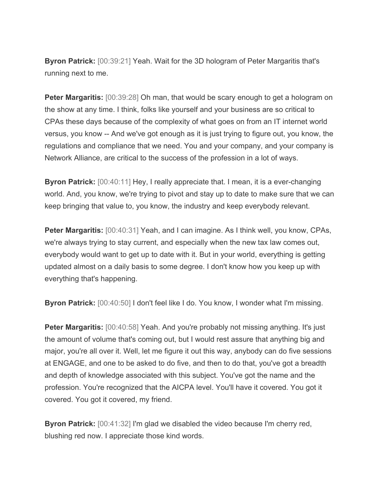**Byron Patrick:** [00:39:21] Yeah. Wait for the 3D hologram of Peter Margaritis that's running next to me.

**Peter Margaritis:** [00:39:28] Oh man, that would be scary enough to get a hologram on the show at any time. I think, folks like yourself and your business are so critical to CPAs these days because of the complexity of what goes on from an IT internet world versus, you know -- And we've got enough as it is just trying to figure out, you know, the regulations and compliance that we need. You and your company, and your company is Network Alliance, are critical to the success of the profession in a lot of ways.

**Byron Patrick:** [00:40:11] Hey, I really appreciate that. I mean, it is a ever-changing world. And, you know, we're trying to pivot and stay up to date to make sure that we can keep bringing that value to, you know, the industry and keep everybody relevant.

**Peter Margaritis:** [00:40:31] Yeah, and I can imagine. As I think well, you know, CPAs, we're always trying to stay current, and especially when the new tax law comes out, everybody would want to get up to date with it. But in your world, everything is getting updated almost on a daily basis to some degree. I don't know how you keep up with everything that's happening.

**Byron Patrick:** [00:40:50] I don't feel like I do. You know, I wonder what I'm missing.

**Peter Margaritis:** [00:40:58] Yeah. And you're probably not missing anything. It's just the amount of volume that's coming out, but I would rest assure that anything big and major, you're all over it. Well, let me figure it out this way, anybody can do five sessions at ENGAGE, and one to be asked to do five, and then to do that, you've got a breadth and depth of knowledge associated with this subject. You've got the name and the profession. You're recognized that the AICPA level. You'll have it covered. You got it covered. You got it covered, my friend.

**Byron Patrick:** [00:41:32] I'm glad we disabled the video because I'm cherry red, blushing red now. I appreciate those kind words.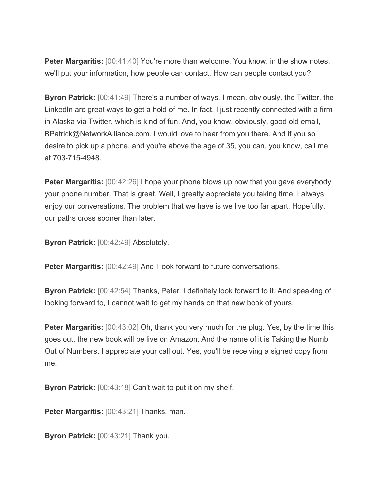**Peter Margaritis:** [00:41:40] You're more than welcome. You know, in the show notes, we'll put your information, how people can contact. How can people contact you?

**Byron Patrick:** [00:41:49] There's a number of ways. I mean, obviously, the Twitter, the LinkedIn are great ways to get a hold of me. In fact, I just recently connected with a firm in Alaska via Twitter, which is kind of fun. And, you know, obviously, good old email, BPatrick@NetworkAlliance.com. I would love to hear from you there. And if you so desire to pick up a phone, and you're above the age of 35, you can, you know, call me at 703-715-4948.

**Peter Margaritis:** [00:42:26] I hope your phone blows up now that you gave everybody your phone number. That is great. Well, I greatly appreciate you taking time. I always enjoy our conversations. The problem that we have is we live too far apart. Hopefully, our paths cross sooner than later.

**Byron Patrick:** [00:42:49] Absolutely.

**Peter Margaritis:** [00:42:49] And I look forward to future conversations.

**Byron Patrick:** [00:42:54] Thanks, Peter. I definitely look forward to it. And speaking of looking forward to, I cannot wait to get my hands on that new book of yours.

**Peter Margaritis:** [00:43:02] Oh, thank you very much for the plug. Yes, by the time this goes out, the new book will be live on Amazon. And the name of it is Taking the Numb Out of Numbers. I appreciate your call out. Yes, you'll be receiving a signed copy from me.

**Byron Patrick:** [00:43:18] Can't wait to put it on my shelf.

**Peter Margaritis:** [00:43:21] Thanks, man.

**Byron Patrick:** [00:43:21] Thank you.